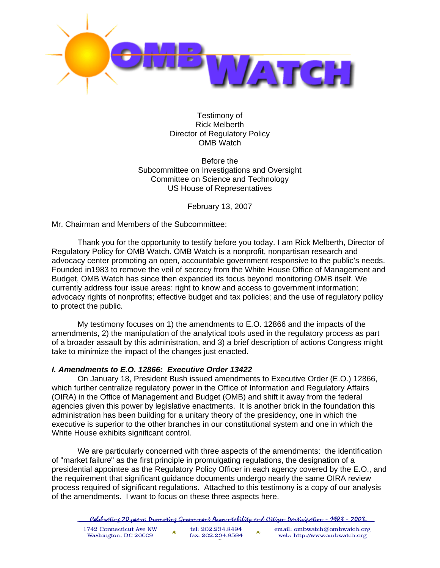

Testimony of Rick Melberth Director of Regulatory Policy OMB Watch

Before the Subcommittee on Investigations and Oversight Committee on Science and Technology US House of Representatives

February 13, 2007

Mr. Chairman and Members of the Subcommittee:

Thank you for the opportunity to testify before you today. I am Rick Melberth, Director of Regulatory Policy for OMB Watch. OMB Watch is a nonprofit, nonpartisan research and advocacy center promoting an open, accountable government responsive to the public's needs. Founded in1983 to remove the veil of secrecy from the White House Office of Management and Budget, OMB Watch has since then expanded its focus beyond monitoring OMB itself. We currently address four issue areas: right to know and access to government information; advocacy rights of nonprofits; effective budget and tax policies; and the use of regulatory policy to protect the public.

 My testimony focuses on 1) the amendments to E.O. 12866 and the impacts of the amendments, 2) the manipulation of the analytical tools used in the regulatory process as part of a broader assault by this administration, and 3) a brief description of actions Congress might take to minimize the impact of the changes just enacted.

# *I. Amendments to E.O. 12866: Executive Order 13422*

On January 18, President Bush issued amendments to Executive Order (E.O.) 12866, which further centralize regulatory power in the Office of Information and Regulatory Affairs (OIRA) in the Office of Management and Budget (OMB) and shift it away from the federal agencies given this power by legislative enactments. It is another brick in the foundation this administration has been building for a unitary theory of the presidency, one in which the executive is superior to the other branches in our constitutional system and one in which the White House exhibits significant control.

We are particularly concerned with three aspects of the amendments: the identification of "market failure" as the first principle in promulgating regulations, the designation of a presidential appointee as the Regulatory Policy Officer in each agency covered by the E.O., and the requirement that significant guidance documents undergo nearly the same OIRA review process required of significant regulations. Attached to this testimony is a copy of our analysis of the amendments. I want to focus on these three aspects here.

|  | <u>- Celebratine 20 years: Dromotine Government Accountability and Citizen Darticipation - 1983 - 2003.</u> |  |  |
|--|-------------------------------------------------------------------------------------------------------------|--|--|
|  |                                                                                                             |  |  |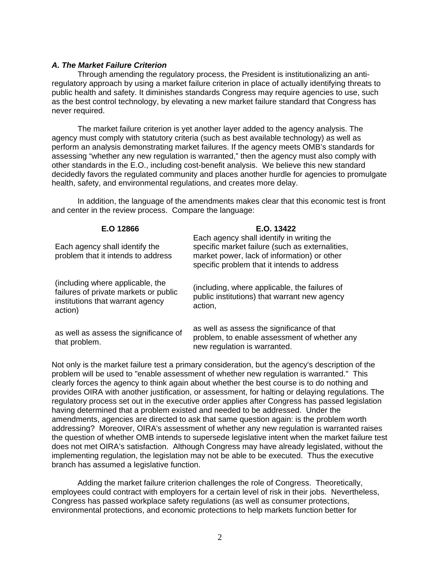#### *A. The Market Failure Criterion*

Through amending the regulatory process, the President is institutionalizing an antiregulatory approach by using a market failure criterion in place of actually identifying threats to public health and safety. It diminishes standards Congress may require agencies to use, such as the best control technology, by elevating a new market failure standard that Congress has never required.

The market failure criterion is yet another layer added to the agency analysis. The agency must comply with statutory criteria (such as best available technology) as well as perform an analysis demonstrating market failures. If the agency meets OMB's standards for assessing "whether any new regulation is warranted," then the agency must also comply with other standards in the E.O., including cost-benefit analysis. We believe this new standard decidedly favors the regulated community and places another hurdle for agencies to promulgate health, safety, and environmental regulations, and creates more delay.

In addition, the language of the amendments makes clear that this economic test is front and center in the review process. Compare the language:

| E.O 12866                                                                                                                | E.O. 13422                                                                                                                                                                                 |  |  |
|--------------------------------------------------------------------------------------------------------------------------|--------------------------------------------------------------------------------------------------------------------------------------------------------------------------------------------|--|--|
| Each agency shall identify the<br>problem that it intends to address                                                     | Each agency shall identify in writing the<br>specific market failure (such as externalities,<br>market power, lack of information) or other<br>specific problem that it intends to address |  |  |
| (including where applicable, the<br>failures of private markets or public<br>institutions that warrant agency<br>action) | (including, where applicable, the failures of<br>public institutions) that warrant new agency<br>action.                                                                                   |  |  |
| as well as assess the significance of<br>that problem.                                                                   | as well as assess the significance of that<br>problem, to enable assessment of whether any<br>new regulation is warranted.                                                                 |  |  |

Not only is the market failure test a primary consideration, but the agency's description of the problem will be used to "enable assessment of whether new regulation is warranted." This clearly forces the agency to think again about whether the best course is to do nothing and provides OIRA with another justification, or assessment, for halting or delaying regulations. The regulatory process set out in the executive order applies after Congress has passed legislation having determined that a problem existed and needed to be addressed. Under the amendments, agencies are directed to ask that same question again: is the problem worth addressing? Moreover, OIRA's assessment of whether any new regulation is warranted raises the question of whether OMB intends to supersede legislative intent when the market failure test does not met OIRA's satisfaction. Although Congress may have already legislated, without the implementing regulation, the legislation may not be able to be executed. Thus the executive branch has assumed a legislative function.

 Adding the market failure criterion challenges the role of Congress. Theoretically, employees could contract with employers for a certain level of risk in their jobs. Nevertheless, Congress has passed workplace safety regulations (as well as consumer protections, environmental protections, and economic protections to help markets function better for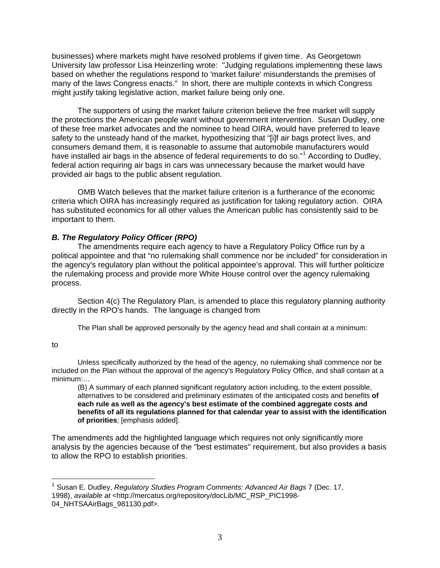businesses) where markets might have resolved problems if given time. As Georgetown University law professor Lisa Heinzerling wrote: "Judging regulations implementing these laws based on whether the regulations respond to 'market failure' misunderstands the premises of many of the laws Congress enacts." In short, there are multiple contexts in which Congress might justify taking legislative action, market failure being only one.

 The supporters of using the market failure criterion believe the free market will supply the protections the American people want without government intervention. Susan Dudley, one of these free market advocates and the nominee to head OIRA, would have preferred to leave safety to the unsteady hand of the market, hypothesizing that "[i]f air bags protect lives, and consumers demand them, it is reasonable to assume that automobile manufacturers would have installed air bags in the absence of federal requirements to do so."<sup>[1](#page-2-0)</sup> According to Dudley, federal action requiring air bags in cars was unnecessary because the market would have provided air bags to the public absent regulation.

 OMB Watch believes that the market failure criterion is a furtherance of the economic criteria which OIRA has increasingly required as justification for taking regulatory action. OIRA has substituted economics for all other values the American public has consistently said to be important to them.

# *B. The Regulatory Policy Officer (RPO)*

 The amendments require each agency to have a Regulatory Policy Office run by a political appointee and that "no rulemaking shall commence nor be included" for consideration in the agency's regulatory plan without the political appointee's approval. This will further politicize the rulemaking process and provide more White House control over the agency rulemaking process.

Section 4(c) The Regulatory Plan, is amended to place this regulatory planning authority directly in the RPO's hands. The language is changed from

The Plan shall be approved personally by the agency head and shall contain at a minimum:

#### to

 $\overline{a}$ 

 Unless specifically authorized by the head of the agency, no rulemaking shall commence nor be included on the Plan without the approval of the agency's Regulatory Policy Office, and shall contain at a minimum:…

(B) A summary of each planned significant regulatory action including, to the extent possible, alternatives to be considered and preliminary estimates of the anticipated costs and benefits **of each rule as well as the agency's best estimate of the combined aggregate costs and benefits of all its regulations planned for that calendar year to assist with the identification of priorities**; [emphasis added].

The amendments add the highlighted language which requires not only significantly more analysis by the agencies because of the "best estimates" requirement, but also provides a basis to allow the RPO to establish priorities.

<span id="page-2-0"></span><sup>1</sup> Susan E. Dudley, *Regulatory Studies Program Comments: Advanced Air Bags* 7 (Dec. 17, 1998), *available at* <http://mercatus.org/repository/docLib/MC\_RSP\_PIC1998- 04\_NHTSAAirBags\_981130.pdf>.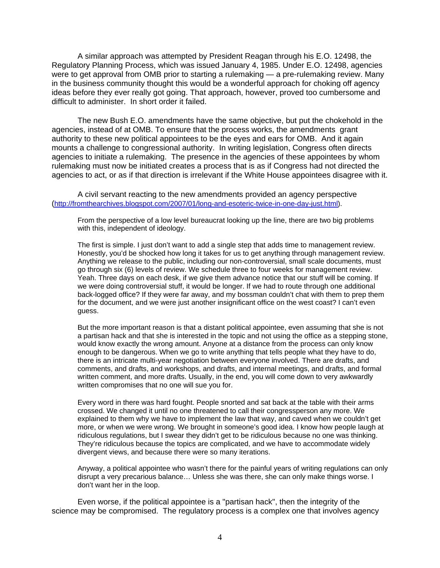A similar approach was attempted by President Reagan through his E.O. 12498, the Regulatory Planning Process, which was issued January 4, 1985. Under E.O. 12498, agencies were to get approval from OMB prior to starting a rulemaking — a pre-rulemaking review. Many in the business community thought this would be a wonderful approach for choking off agency ideas before they ever really got going. That approach, however, proved too cumbersome and difficult to administer. In short order it failed.

The new Bush E.O. amendments have the same objective, but put the chokehold in the agencies, instead of at OMB. To ensure that the process works, the amendments grant authority to these new political appointees to be the eyes and ears for OMB. And it again mounts a challenge to congressional authority. In writing legislation, Congress often directs agencies to initiate a rulemaking. The presence in the agencies of these appointees by whom rulemaking must now be initiated creates a process that is as if Congress had not directed the agencies to act, or as if that direction is irrelevant if the White House appointees disagree with it.

A civil servant reacting to the new amendments provided an agency perspective (<http://fromthearchives.blogspot.com/2007/01/long-and-esoteric-twice-in-one-day-just.html>).

From the perspective of a low level bureaucrat looking up the line, there are two big problems with this, independent of ideology.

The first is simple. I just don't want to add a single step that adds time to management review. Honestly, you'd be shocked how long it takes for us to get anything through management review. Anything we release to the public, including our non-controversial, small scale documents, must go through six (6) levels of review. We schedule three to four weeks for management review. Yeah. Three days on each desk, if we give them advance notice that our stuff will be coming. If we were doing controversial stuff, it would be longer. If we had to route through one additional back-logged office? If they were far away, and my bossman couldn't chat with them to prep them for the document, and we were just another insignificant office on the west coast? I can't even guess.

But the more important reason is that a distant political appointee, even assuming that she is not a partisan hack and that she is interested in the topic and not using the office as a stepping stone, would know exactly the wrong amount. Anyone at a distance from the process can only know enough to be dangerous. When we go to write anything that tells people what they have to do, there is an intricate multi-year negotiation between everyone involved. There are drafts, and comments, and drafts, and workshops, and drafts, and internal meetings, and drafts, and formal written comment, and more drafts. Usually, in the end, you will come down to very awkwardly written compromises that no one will sue you for.

Every word in there was hard fought. People snorted and sat back at the table with their arms crossed. We changed it until no one threatened to call their congressperson any more. We explained to them why we have to implement the law that way, and caved when we couldn't get more, or when we were wrong. We brought in someone's good idea. I know how people laugh at ridiculous regulations, but I swear they didn't get to be ridiculous because no one was thinking. They're ridiculous because the topics are complicated, and we have to accommodate widely divergent views, and because there were so many iterations.

Anyway, a political appointee who wasn't there for the painful years of writing regulations can only disrupt a very precarious balance… Unless she was there, she can only make things worse. I don't want her in the loop.

 Even worse, if the political appointee is a "partisan hack", then the integrity of the science may be compromised. The regulatory process is a complex one that involves agency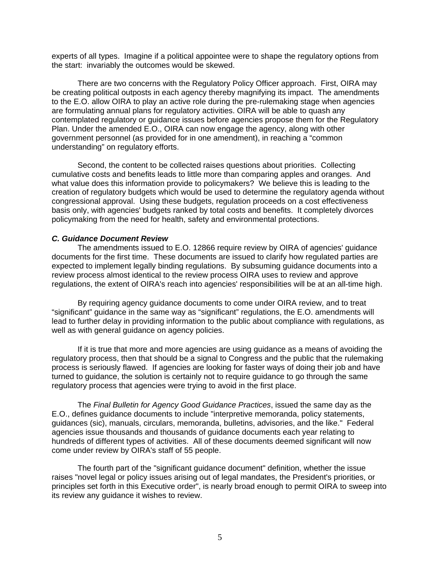experts of all types. Imagine if a political appointee were to shape the regulatory options from the start: invariably the outcomes would be skewed.

There are two concerns with the Regulatory Policy Officer approach. First, OIRA may be creating political outposts in each agency thereby magnifying its impact. The amendments to the E.O. allow OIRA to play an active role during the pre-rulemaking stage when agencies are formulating annual plans for regulatory activities. OIRA will be able to quash any contemplated regulatory or guidance issues before agencies propose them for the Regulatory Plan. Under the amended E.O., OIRA can now engage the agency, along with other government personnel (as provided for in one amendment), in reaching a "common understanding" on regulatory efforts.

 Second, the content to be collected raises questions about priorities. Collecting cumulative costs and benefits leads to little more than comparing apples and oranges. And what value does this information provide to policymakers? We believe this is leading to the creation of regulatory budgets which would be used to determine the regulatory agenda without congressional approval. Using these budgets, regulation proceeds on a cost effectiveness basis only, with agencies' budgets ranked by total costs and benefits. It completely divorces policymaking from the need for health, safety and environmental protections.

#### *C. Guidance Document Review*

 The amendments issued to E.O. 12866 require review by OIRA of agencies' guidance documents for the first time. These documents are issued to clarify how regulated parties are expected to implement legally binding regulations. By subsuming guidance documents into a review process almost identical to the review process OIRA uses to review and approve regulations, the extent of OIRA's reach into agencies' responsibilities will be at an all-time high.

 By requiring agency guidance documents to come under OIRA review, and to treat "significant" guidance in the same way as "significant" regulations, the E.O. amendments will lead to further delay in providing information to the public about compliance with regulations, as well as with general guidance on agency policies.

If it is true that more and more agencies are using guidance as a means of avoiding the regulatory process, then that should be a signal to Congress and the public that the rulemaking process is seriously flawed. If agencies are looking for faster ways of doing their job and have turned to guidance, the solution is certainly not to require guidance to go through the same regulatory process that agencies were trying to avoid in the first place.

The *Final Bulletin for Agency Good Guidance Practices*, issued the same day as the E.O., defines guidance documents to include "interpretive memoranda, policy statements, guidances (sic), manuals, circulars, memoranda, bulletins, advisories, and the like." Federal agencies issue thousands and thousands of guidance documents each year relating to hundreds of different types of activities. All of these documents deemed significant will now come under review by OIRA's staff of 55 people.

The fourth part of the "significant guidance document" definition, whether the issue raises "novel legal or policy issues arising out of legal mandates, the President's priorities, or principles set forth in this Executive order", is nearly broad enough to permit OIRA to sweep into its review any guidance it wishes to review.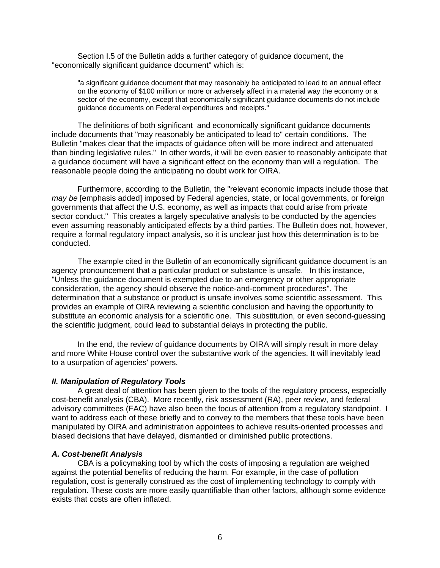Section I.5 of the Bulletin adds a further category of guidance document, the "economically significant guidance document" which is:

"a significant guidance document that may reasonably be anticipated to lead to an annual effect on the economy of \$100 million or more or adversely affect in a material way the economy or a sector of the economy, except that economically significant guidance documents do not include guidance documents on Federal expenditures and receipts."

The definitions of both significant and economically significant guidance documents include documents that "may reasonably be anticipated to lead to" certain conditions. The Bulletin "makes clear that the impacts of guidance often will be more indirect and attenuated than binding legislative rules." In other words, it will be even easier to reasonably anticipate that a guidance document will have a significant effect on the economy than will a regulation. The reasonable people doing the anticipating no doubt work for OIRA.

Furthermore, according to the Bulletin, the "relevant economic impacts include those that *may be* [emphasis added] imposed by Federal agencies, state, or local governments, or foreign governments that affect the U.S. economy, as well as impacts that could arise from private sector conduct." This creates a largely speculative analysis to be conducted by the agencies even assuming reasonably anticipated effects by a third parties. The Bulletin does not, however, require a formal regulatory impact analysis, so it is unclear just how this determination is to be conducted.

The example cited in the Bulletin of an economically significant guidance document is an agency pronouncement that a particular product or substance is unsafe. In this instance, "Unless the guidance document is exempted due to an emergency or other appropriate consideration, the agency should observe the notice-and-comment procedures". The determination that a substance or product is unsafe involves some scientific assessment. This provides an example of OIRA reviewing a scientific conclusion and having the opportunity to substitute an economic analysis for a scientific one. This substitution, or even second-guessing the scientific judgment, could lead to substantial delays in protecting the public.

In the end, the review of guidance documents by OIRA will simply result in more delay and more White House control over the substantive work of the agencies. It will inevitably lead to a usurpation of agencies' powers.

#### *II. Manipulation of Regulatory Tools*

 A great deal of attention has been given to the tools of the regulatory process, especially cost-benefit analysis (CBA). More recently, risk assessment (RA), peer review, and federal advisory committees (FAC) have also been the focus of attention from a regulatory standpoint. I want to address each of these briefly and to convey to the members that these tools have been manipulated by OIRA and administration appointees to achieve results-oriented processes and biased decisions that have delayed, dismantled or diminished public protections.

#### *A. Cost-benefit Analysis*

CBA is a policymaking tool by which the costs of imposing a regulation are weighed against the potential benefits of reducing the harm. For example, in the case of pollution regulation, cost is generally construed as the cost of implementing technology to comply with regulation. These costs are more easily quantifiable than other factors, although some evidence exists that costs are often inflated.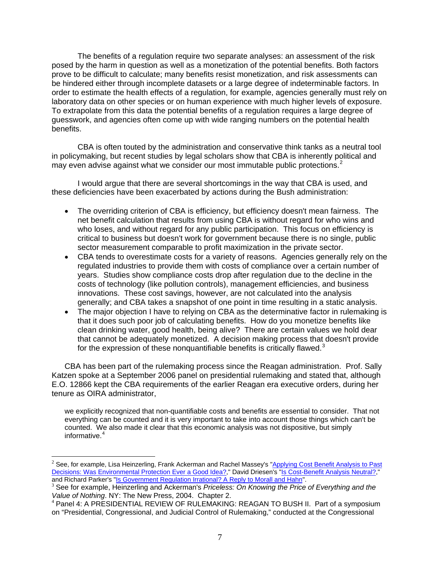The benefits of a regulation require two separate analyses: an assessment of the risk posed by the harm in question as well as a monetization of the potential benefits. Both factors prove to be difficult to calculate; many benefits resist monetization, and risk assessments can be hindered either through incomplete datasets or a large degree of indeterminable factors. In order to estimate the health effects of a regulation, for example, agencies generally must rely on laboratory data on other species or on human experience with much higher levels of exposure. To extrapolate from this data the potential benefits of a regulation requires a large degree of guesswork, and agencies often come up with wide ranging numbers on the potential health benefits.

CBA is often touted by the administration and conservative think tanks as a neutral tool in policymaking, but recent studies by legal scholars show that CBA is inherently political and may even advise against what we consider our most immutable public protections.<sup>[2](#page-6-0)</sup>

 I would argue that there are several shortcomings in the way that CBA is used, and these deficiencies have been exacerbated by actions during the Bush administration:

- The overriding criterion of CBA is efficiency, but efficiency doesn't mean fairness. The net benefit calculation that results from using CBA is without regard for who wins and who loses, and without regard for any public participation. This focus on efficiency is critical to business but doesn't work for government because there is no single, public sector measurement comparable to profit maximization in the private sector.
- CBA tends to overestimate costs for a variety of reasons. Agencies generally rely on the regulated industries to provide them with costs of compliance over a certain number of years. Studies show compliance costs drop after regulation due to the decline in the costs of technology (like pollution controls), management efficiencies, and business innovations. These cost savings, however, are not calculated into the analysis generally; and CBA takes a snapshot of one point in time resulting in a static analysis.
- The major objection I have to relying on CBA as the determinative factor in rulemaking is that it does such poor job of calculating benefits. How do you monetize benefits like clean drinking water, good health, being alive? There are certain values we hold dear that cannot be adequately monetized. A decision making process that doesn't provide for the expression of these nonquantifiable benefits is critically flawed.<sup>[3](#page-6-1)</sup>

CBA has been part of the rulemaking process since the Reagan administration. Prof. Sally Katzen spoke at a September 2006 panel on presidential rulemaking and stated that, although E.O. 12866 kept the CBA requirements of the earlier Reagan era executive orders, during her tenure as OIRA administrator,

we explicitly recognized that non-quantifiable costs and benefits are essential to consider. That not everything can be counted and it is very important to take into account those things which can't be counted. We also made it clear that this economic analysis was not dispositive, but simply informative.<sup>[4](#page-6-2)</sup>

 $\overline{a}$ 

<span id="page-6-0"></span><sup>&</sup>lt;sup>2</sup> See, for example, Lisa Heinzerling, Frank Ackerman and Rachel Massey's "Applying Cost Benefit Analysis to Past [Decisions: Was Environmental Protection Ever a Good Idea?](http://papers.ssrn.com/sol3/papers.cfm?abstract_id=576161)," David Driesen's "[Is Cost-Benefit Analysis Neutral?](http://papers.ssrn.com/sol3/papers.cfm?abstract_id=663602),"<br>and Richard Parker's "Is Government Regulation Irrational? A Reply to Morall and Hahn".

<span id="page-6-1"></span><sup>&</sup>lt;sup>3</sup> See for example, Heinzerling and Ackerman's Priceless: On Knowing the Price of Everything and the *Value of Nothing*. NY: The New Press, 2004. Chapter 2.<br><sup>4</sup> Panel 4: A PRESIDENTIAL REVIEW OF RULEMAKING: REAGAN TO BUSH II. Part of a symposium

<span id="page-6-2"></span>on "Presidential, Congressional, and Judicial Control of Rulemaking," conducted at the Congressional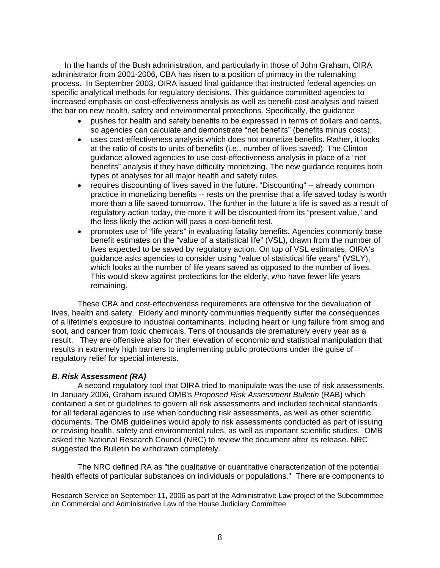In the hands of the Bush administration, and particularly in those of John Graham, OIRA administrator from 2001-2006, CBA has risen to a position of primacy in the rulemaking process. In September 2003, OIRA issued final guidance that instructed federal agencies on specific analytical methods for regulatory decisions. This guidance committed agencies to increased emphasis on cost-effectiveness analysis as well as benefit-cost analysis and raised the bar on new health, safety and environmental protections. Specifically, the guidance

- pushes for health and safety benefits to be expressed in terms of dollars and cents, so agencies can calculate and demonstrate "net benefits" (benefits minus costs);
- uses cost-effectiveness analysis which does not monetize benefits. Rather, it looks at the ratio of costs to units of benefits (i.e., number of lives saved). The Clinton guidance allowed agencies to use cost-effectiveness analysis in place of a "net benefits" analysis if they have difficulty monetizing. The new guidance requires both types of analyses for all major health and safety rules.
- requires discounting of lives saved in the future. "Discounting" -- already common practice in monetizing benefits -- rests on the premise that a life saved today is worth more than a life saved tomorrow. The further in the future a life is saved as a result of regulatory action today, the more it will be discounted from its "present value," and the less likely the action will pass a cost-benefit test.
- promotes use of "life years" in evaluating fatality benefits**.** Agencies commonly base benefit estimates on the "value of a statistical life" (VSL), drawn from the number of lives expected to be saved by regulatory action. On top of VSL estimates, OIRA's guidance asks agencies to consider using "value of statistical life years" (VSLY), which looks at the number of life years saved as opposed to the number of lives. This would skew against protections for the elderly, who have fewer life years remaining.

These CBA and cost-effectiveness requirements are offensive for the devaluation of lives, health and safety. Elderly and minority communities frequently suffer the consequences of a lifetime's exposure to industrial contaminants, including heart or lung failure from smog and soot, and cancer from toxic chemicals. Tens of thousands die prematurely every year as a result. They are offensive also for their elevation of economic and statistical manipulation that results in extremely high barriers to implementing public protections under the guise of regulatory relief for special interests.

#### *B. Risk Assessment (RA)*

 A second regulatory tool that OIRA tried to manipulate was the use of risk assessments. In January 2006, Graham issued OMB's *Proposed Risk Assessment Bulletin* (RAB) which contained a set of guidelines to govern all risk assessments and included technical standards for all federal agencies to use when conducting risk assessments, as well as other scientific documents. The OMB guidelines would apply to risk assessments conducted as part of issuing or revising health, safety and environmental rules, as well as important scientific studies. OMB asked the National Research Council (NRC) to review the document after its release. NRC suggested the Bulletin be withdrawn completely.

 The NRC defined RA as "the qualitative or quantitative characterization of the potential health effects of particular substances on individuals or populations." There are components to

 Research Service on September 11, 2006 as part of the Administrative Law project of the Subcommittee on Commercial and Administrative Law of the House Judiciary Committee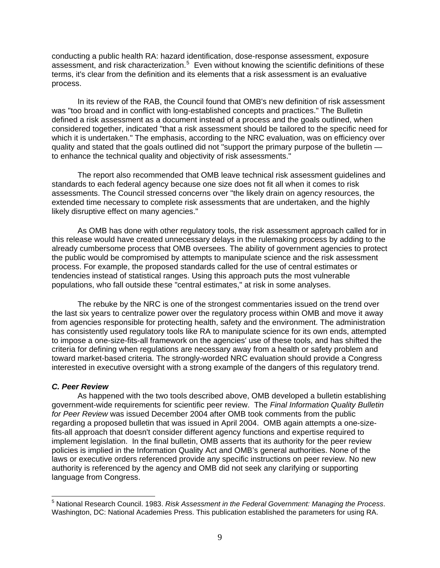conducting a public health RA: hazard identification, dose-response assessment, exposure assessment, and risk characterization.<sup>[5](#page-8-0)</sup> Even without knowing the scientific definitions of these terms, it's clear from the definition and its elements that a risk assessment is an evaluative process.

In its review of the RAB, the Council found that OMB's new definition of risk assessment was "too broad and in conflict with long-established concepts and practices." The Bulletin defined a risk assessment as a document instead of a process and the goals outlined, when considered together, indicated "that a risk assessment should be tailored to the specific need for which it is undertaken." The emphasis, according to the NRC evaluation, was on efficiency over quality and stated that the goals outlined did not "support the primary purpose of the bulletin to enhance the technical quality and objectivity of risk assessments."

The report also recommended that OMB leave technical risk assessment guidelines and standards to each federal agency because one size does not fit all when it comes to risk assessments. The Council stressed concerns over "the likely drain on agency resources, the extended time necessary to complete risk assessments that are undertaken, and the highly likely disruptive effect on many agencies."

As OMB has done with other regulatory tools, the risk assessment approach called for in this release would have created unnecessary delays in the rulemaking process by adding to the already cumbersome process that OMB oversees. The ability of government agencies to protect the public would be compromised by attempts to manipulate science and the risk assessment process. For example, the proposed standards called for the use of central estimates or tendencies instead of statistical ranges. Using this approach puts the most vulnerable populations, who fall outside these "central estimates," at risk in some analyses.

The rebuke by the NRC is one of the strongest commentaries issued on the trend over the last six years to centralize power over the regulatory process within OMB and move it away from agencies responsible for protecting health, safety and the environment. The administration has consistently used regulatory tools like RA to manipulate science for its own ends, attempted to impose a one-size-fits-all framework on the agencies' use of these tools, and has shifted the criteria for defining when regulations are necessary away from a health or safety problem and toward market-based criteria. The strongly-worded NRC evaluation should provide a Congress interested in executive oversight with a strong example of the dangers of this regulatory trend.

#### *C. Peer Review*

 As happened with the two tools described above, OMB developed a bulletin establishing government-wide requirements for scientific peer review. The *Final Information Quality Bulletin for Peer Review* was issued December 2004 after OMB took comments from the public regarding a proposed bulletin that was issued in April 2004. OMB again attempts a one-sizefits-all approach that doesn't consider different agency functions and expertise required to implement legislation. In the final bulletin, OMB asserts that its authority for the peer review policies is implied in the Information Quality Act and OMB's general authorities. None of the laws or executive orders referenced provide any specific instructions on peer review. No new authority is referenced by the agency and OMB did not seek any clarifying or supporting language from Congress.

<span id="page-8-0"></span><sup>5</sup> National Research Council. 1983. *Risk Assessment in the Federal Government: Managing the Process*. Washington, DC: National Academies Press. This publication established the parameters for using RA.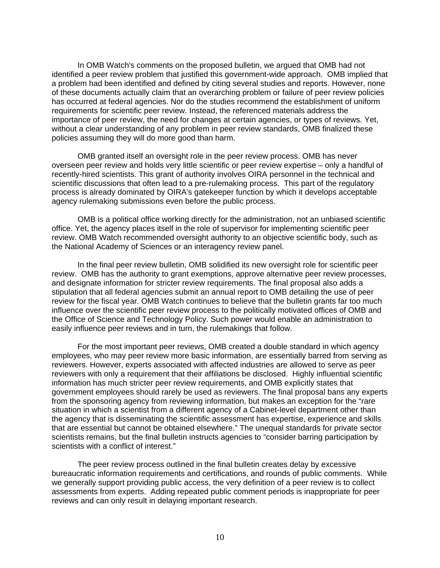In OMB Watch's comments on the proposed bulletin, we argued that OMB had not identified a peer review problem that justified this government-wide approach. OMB implied that a problem had been identified and defined by citing several studies and reports. However, none of these documents actually claim that an overarching problem or failure of peer review policies has occurred at federal agencies. Nor do the studies recommend the establishment of uniform requirements for scientific peer review. Instead, the referenced materials address the importance of peer review, the need for changes at certain agencies, or types of reviews. Yet, without a clear understanding of any problem in peer review standards, OMB finalized these policies assuming they will do more good than harm.

OMB granted itself an oversight role in the peer review process. OMB has never overseen peer review and holds very little scientific or peer review expertise – only a handful of recently-hired scientists. This grant of authority involves OIRA personnel in the technical and scientific discussions that often lead to a pre-rulemaking process. This part of the regulatory process is already dominated by OIRA's gatekeeper function by which it develops acceptable agency rulemaking submissions even before the public process.

OMB is a political office working directly for the administration, not an unbiased scientific office. Yet, the agency places itself in the role of supervisor for implementing scientific peer review. OMB Watch recommended oversight authority to an objective scientific body, such as the National Academy of Sciences or an interagency review panel.

In the final peer review bulletin, OMB solidified its new oversight role for scientific peer review. OMB has the authority to grant exemptions, approve alternative peer review processes, and designate information for stricter review requirements. The final proposal also adds a stipulation that all federal agencies submit an annual report to OMB detailing the use of peer review for the fiscal year. OMB Watch continues to believe that the bulletin grants far too much influence over the scientific peer review process to the politically motivated offices of OMB and the Office of Science and Technology Policy. Such power would enable an administration to easily influence peer reviews and in turn, the rulemakings that follow.

For the most important peer reviews, OMB created a double standard in which agency employees, who may peer review more basic information, are essentially barred from serving as reviewers. However, experts associated with affected industries are allowed to serve as peer reviewers with only a requirement that their affiliations be disclosed. Highly influential scientific information has much stricter peer review requirements, and OMB explicitly states that government employees should rarely be used as reviewers. The final proposal bans any experts from the sponsoring agency from reviewing information, but makes an exception for the "rare" situation in which a scientist from a different agency of a Cabinet-level department other than the agency that is disseminating the scientific assessment has expertise, experience and skills that are essential but cannot be obtained elsewhere." The unequal standards for private sector scientists remains, but the final bulletin instructs agencies to "consider barring participation by scientists with a conflict of interest."

The peer review process outlined in the final bulletin creates delay by excessive bureaucratic information requirements and certifications, and rounds of public comments. While we generally support providing public access, the very definition of a peer review is to collect assessments from experts. Adding repeated public comment periods is inappropriate for peer reviews and can only result in delaying important research.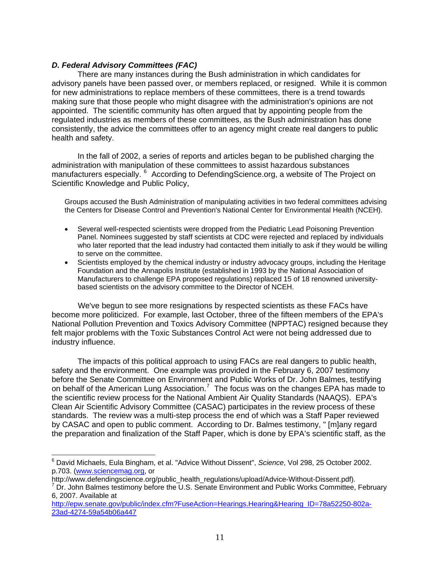# *D. Federal Advisory Committees (FAC)*

 There are many instances during the Bush administration in which candidates for advisory panels have been passed over, or members replaced, or resigned. While it is common for new administrations to replace members of these committees, there is a trend towards making sure that those people who might disagree with the administration's opinions are not appointed. The scientific community has often argued that by appointing people from the regulated industries as members of these committees, as the Bush administration has done consistently, the advice the committees offer to an agency might create real dangers to public health and safety.

 In the fall of 2002, a series of reports and articles began to be published charging the administration with manipulation of these committees to assist hazardous substances manufacturers especially. <sup>[6](#page-10-0)</sup> According to DefendingScience.org, a website of The Project on Scientific Knowledge and Public Policy,

Groups accused the Bush Administration of manipulating activities in two federal committees advising the Centers for Disease Control and Prevention's National Center for Environmental Health (NCEH).

- Several well-respected scientists were dropped from the Pediatric Lead Poisoning Prevention Panel. Nominees suggested by staff scientists at CDC were rejected and replaced by individuals who later reported that the lead industry had contacted them initially to ask if they would be willing to serve on the committee.
- Scientists employed by the chemical industry or industry advocacy groups, including the Heritage Foundation and the Annapolis Institute (established in 1993 by the National Association of Manufacturers to challenge EPA proposed regulations) replaced 15 of 18 renowned universitybased scientists on the advisory committee to the Director of NCEH.

 We've begun to see more resignations by respected scientists as these FACs have become more politicized. For example, last October, three of the fifteen members of the EPA's National Pollution Prevention and Toxics Advisory Committee (NPPTAC) resigned because they felt major problems with the Toxic Substances Control Act were not being addressed due to industry influence.

 The impacts of this political approach to using FACs are real dangers to public health, safety and the environment. One example was provided in the February 6, 2007 testimony before the Senate Committee on Environment and Public Works of Dr. John Balmes, testifying on behalf of the American Lung Association.<sup>[7](#page-10-1)</sup> The focus was on the changes EPA has made to the scientific review process for the National Ambient Air Quality Standards (NAAQS). EPA's Clean Air Scientific Advisory Committee (CASAC) participates in the review process of these standards. The review was a multi-step process the end of which was a Staff Paper reviewed by CASAC and open to public comment. According to Dr. Balmes testimony, " [m]any regard the preparation and finalization of the Staff Paper, which is done by EPA's scientific staff, as the

<span id="page-10-0"></span> 6 David Michaels, Eula Bingham, et al. "Advice Without Dissent", *Science*, Vol 298, 25 October 2002. p.703. ([www.sciencemag.org](http://www.sciencemag.org/), or

http://www.defendingscience.org/public\_health\_regulations/upload/Advice-Without-Dissent.pdf).

<span id="page-10-1"></span> $\sqrt{D}$  Dr. John Balmes testimony before the U.S. Senate Environment and Public Works Committee, February 6, 2007. Available at

[http://epw.senate.gov/public/index.cfm?FuseAction=Hearings.Hearing&Hearing\\_ID=78a52250-802a-](http://epw.senate.gov/public/index.cfm?FuseAction=Hearings.Hearing&Hearing_ID=78a52250-802a-23ad-4274-59a54b06a447)[23ad-4274-59a54b06a447](http://epw.senate.gov/public/index.cfm?FuseAction=Hearings.Hearing&Hearing_ID=78a52250-802a-23ad-4274-59a54b06a447)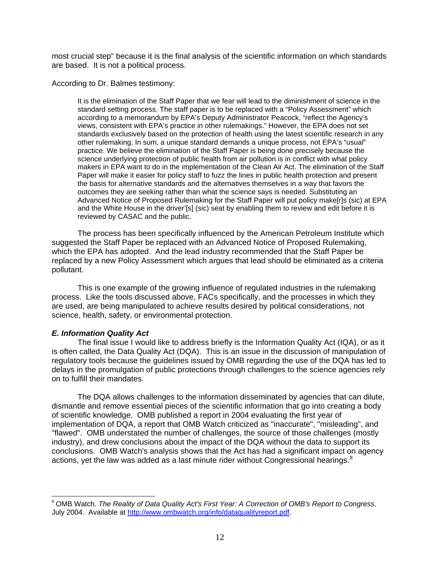most crucial step" because it is the final analysis of the scientific information on which standards are based. It is not a political process.

According to Dr. Balmes testimony:

It is the elimination of the Staff Paper that we fear will lead to the diminishment of science in the standard setting process. The staff paper is to be replaced with a "Policy Assessment" which according to a memorandum by EPA's Deputy Administrator Peacock, "reflect the Agency's views, consistent with EPA's practice in other rulemakings." However, the EPA does not set standards exclusively based on the protection of health using the latest scientific research in any other rulemaking. In sum, a unique standard demands a unique process, not EPA's "usual" practice. We believe the elimination of the Staff Paper is being done precisely because the science underlying protection of public health from air pollution is in conflict with what policy makers in EPA want to do in the implementation of the Clean Air Act. The elimination of the Staff Paper will make it easier for policy staff to fuzz the lines in public health protection and present the basis for alternative standards and the alternatives themselves in a way that favors the outcomes they are seeking rather than what the science says is needed. Substituting an Advanced Notice of Proposed Rulemaking for the Staff Paper will put policy make[r]s (sic) at EPA and the White House in the driver'[s] (sic) seat by enabling them to review and edit before it is reviewed by CASAC and the public.

 The process has been specifically influenced by the American Petroleum Institute which suggested the Staff Paper be replaced with an Advanced Notice of Proposed Rulemaking, which the EPA has adopted. And the lead industry recommended that the Staff Paper be replaced by a new Policy Assessment which argues that lead should be eliminated as a criteria pollutant.

 This is one example of the growing influence of regulated industries in the rulemaking process. Like the tools discussed above, FACs specifically, and the processes in which they are used, are being manipulated to achieve results desired by political considerations, not science, health, safety, or environmental protection.

#### *E. Information Quality Act*

 The final issue I would like to address briefly is the Information Quality Act (IQA), or as it is often called, the Data Quality Act (DQA). This is an issue in the discussion of manipulation of regulatory tools because the guidelines issued by OMB regarding the use of the DQA has led to delays in the promulgation of public protections through challenges to the science agencies rely on to fulfill their mandates.

 The DQA allows challenges to the information disseminated by agencies that can dilute, dismantle and remove essential pieces of the scientific information that go into creating a body of scientific knowledge. OMB published a report in 2004 evaluating the first year of implementation of DQA, a report that OMB Watch criticized as "inaccurate", "misleading", and "flawed". OMB understated the number of challenges, the source of those challenges (mostly industry), and drew conclusions about the impact of the DQA without the data to support its conclusions. OMB Watch's analysis shows that the Act has had a significant impact on agency actions, yet the law was added as a last minute rider without Congressional hearings.<sup>[8](#page-11-0)</sup>

<span id="page-11-0"></span><sup>8</sup> OMB Watch. *The Reality of Data Quality Act's First Year: A Correction of OMB's Report to Congress*. July 2004. Available at [http://www.ombwatch.org/info/dataqualityreport.pdf.](http://www.ombwatch.org/info/dataqualityreport.pdf)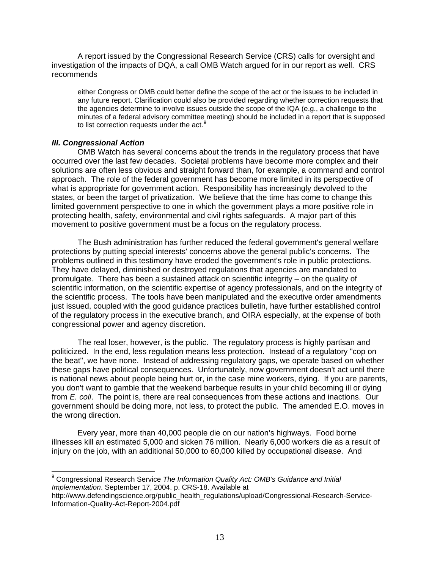A report issued by the Congressional Research Service (CRS) calls for oversight and investigation of the impacts of DQA, a call OMB Watch argued for in our report as well. CRS recommends

either Congress or OMB could better define the scope of the act or the issues to be included in any future report. Clarification could also be provided regarding whether correction requests that the agencies determine to involve issues outside the scope of the IQA (e.g., a challenge to the minutes of a federal advisory committee meeting) should be included in a report that is supposed to list correction requests under the act.<sup>[9](#page-12-0)</sup>

#### *III. Congressional Action*

 OMB Watch has several concerns about the trends in the regulatory process that have occurred over the last few decades. Societal problems have become more complex and their solutions are often less obvious and straight forward than, for example, a command and control approach. The role of the federal government has become more limited in its perspective of what is appropriate for government action. Responsibility has increasingly devolved to the states, or been the target of privatization. We believe that the time has come to change this limited government perspective to one in which the government plays a more positive role in protecting health, safety, environmental and civil rights safeguards. A major part of this movement to positive government must be a focus on the regulatory process.

 The Bush administration has further reduced the federal government's general welfare protections by putting special interests' concerns above the general public's concerns. The problems outlined in this testimony have eroded the government's role in public protections. They have delayed, diminished or destroyed regulations that agencies are mandated to promulgate. There has been a sustained attack on scientific integrity – on the quality of scientific information, on the scientific expertise of agency professionals, and on the integrity of the scientific process. The tools have been manipulated and the executive order amendments just issued, coupled with the good guidance practices bulletin, have further established control of the regulatory process in the executive branch, and OIRA especially, at the expense of both congressional power and agency discretion.

 The real loser, however, is the public. The regulatory process is highly partisan and politicized. In the end, less regulation means less protection. Instead of a regulatory "cop on the beat", we have none. Instead of addressing regulatory gaps, we operate based on whether these gaps have political consequences. Unfortunately, now government doesn't act until there is national news about people being hurt or, in the case mine workers, dying. If you are parents, you don't want to gamble that the weekend barbeque results in your child becoming ill or dying from *E. coli*. The point is, there are real consequences from these actions and inactions. Our government should be doing more, not less, to protect the public. The amended E.O. moves in the wrong direction.

Every year, more than 40,000 people die on our nation's highways. Food borne illnesses kill an estimated 5,000 and sicken 76 million. Nearly 6,000 workers die as a result of injury on the job, with an additional 50,000 to 60,000 killed by occupational disease. And

<span id="page-12-0"></span> 9 Congressional Research Service *The Information Quality Act: OMB's Guidance and Initial Implementation*. September 17, 2004. p. CRS-18. Available at

http://www.defendingscience.org/public\_health\_regulations/upload/Congressional-Research-Service-Information-Quality-Act-Report-2004.pdf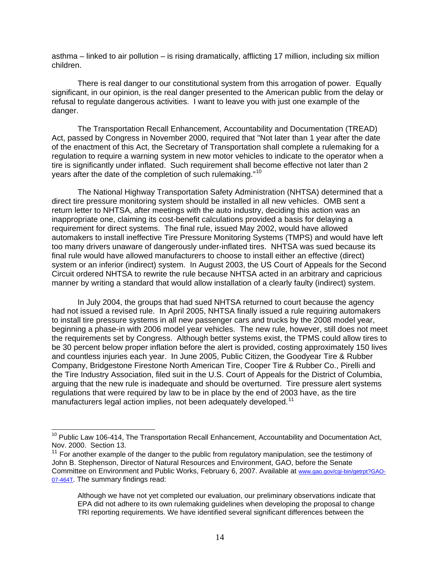asthma – linked to air pollution – is rising dramatically, afflicting 17 million, including six million children.

 There is real danger to our constitutional system from this arrogation of power. Equally significant, in our opinion, is the real danger presented to the American public from the delay or refusal to regulate dangerous activities. I want to leave you with just one example of the danger.

 The Transportation Recall Enhancement, Accountability and Documentation (TREAD) Act, passed by Congress in November 2000, required that "Not later than 1 year after the date of the enactment of this Act, the Secretary of Transportation shall complete a rulemaking for a regulation to require a warning system in new motor vehicles to indicate to the operator when a tire is significantly under inflated. Such requirement shall become effective not later than 2 years after the date of the completion of such rulemaking."<sup>[10](#page-13-0)</sup>

The National Highway Transportation Safety Administration (NHTSA) determined that a direct tire pressure monitoring system should be installed in all new vehicles. OMB sent a return letter to NHTSA, after meetings with the auto industry, deciding this action was an inappropriate one, claiming its cost-benefit calculations provided a basis for delaying a requirement for direct systems. The final rule, issued May 2002, would have allowed automakers to install ineffective Tire Pressure Monitoring Systems (TMPS) and would have left too many drivers unaware of dangerously under-inflated tires. NHTSA was sued because its final rule would have allowed manufacturers to choose to install either an effective (direct) system or an inferior (indirect) system. In August 2003, the US Court of Appeals for the Second Circuit ordered NHTSA to rewrite the rule because NHTSA acted in an arbitrary and capricious manner by writing a standard that would allow installation of a clearly faulty (indirect) system.

In July 2004, the groups that had sued NHTSA returned to court because the agency had not issued a revised rule. In April 2005, NHTSA finally issued a rule requiring automakers to install tire pressure systems in all new passenger cars and trucks by the 2008 model year, beginning a phase-in with 2006 model year vehicles. The new rule, however, still does not meet the requirements set by Congress. Although better systems exist, the TPMS could allow tires to be 30 percent below proper inflation before the alert is provided, costing approximately 150 lives and countless injuries each year. In June 2005, Public Citizen, the Goodyear Tire & Rubber Company, Bridgestone Firestone North American Tire, Cooper Tire & Rubber Co., Pirelli and the Tire Industry Association, filed suit in the U.S. Court of Appeals for the District of Columbia, arguing that the new rule is inadequate and should be overturned. Tire pressure alert systems regulations that were required by law to be in place by the end of 2003 have, as the tire manufacturers legal action implies, not been adequately developed.<sup>[11](#page-13-1)</sup>

 $\overline{a}$ 

<span id="page-13-0"></span><sup>&</sup>lt;sup>10</sup> Public Law 106-414, The Transportation Recall Enhancement, Accountability and Documentation Act, Nov. 2000. Section 13.

<span id="page-13-1"></span> $11$  For another example of the danger to the public from regulatory manipulation, see the testimony of John B. Stephenson, Director of Natural Resources and Environment, GAO, before the Senate Committee on Environment and Public Works, February 6, 2007. Available at [www.gao.gov/cgi-bin/getrpt?GAO-](http://www.gao.gov/cgi-bin/getrpt?GAO-07-464T)[07-464T.](http://www.gao.gov/cgi-bin/getrpt?GAO-07-464T) The summary findings read:

Although we have not yet completed our evaluation, our preliminary observations indicate that EPA did not adhere to its own rulemaking guidelines when developing the proposal to change TRI reporting requirements. We have identified several significant differences between the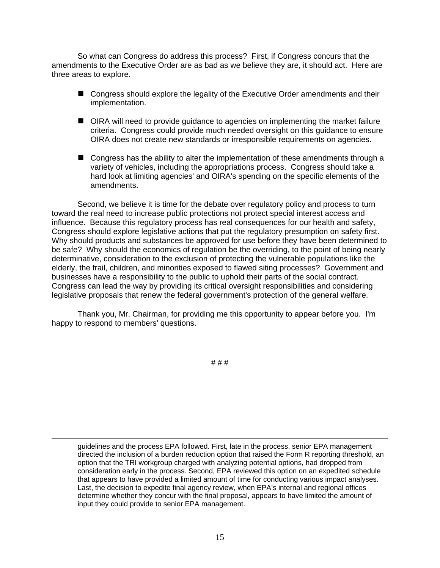So what can Congress do address this process? First, if Congress concurs that the amendments to the Executive Order are as bad as we believe they are, it should act. Here are three areas to explore.

- Congress should explore the legality of the Executive Order amendments and their implementation.
- OIRA will need to provide guidance to agencies on implementing the market failure criteria. Congress could provide much needed oversight on this guidance to ensure OIRA does not create new standards or irresponsible requirements on agencies.
- Congress has the ability to alter the implementation of these amendments through a variety of vehicles, including the appropriations process. Congress should take a hard look at limiting agencies' and OIRA's spending on the specific elements of the amendments.

 Second, we believe it is time for the debate over regulatory policy and process to turn toward the real need to increase public protections not protect special interest access and influence. Because this regulatory process has real consequences for our health and safety, Congress should explore legislative actions that put the regulatory presumption on safety first. Why should products and substances be approved for use before they have been determined to be safe? Why should the economics of regulation be the overriding, to the point of being nearly determinative, consideration to the exclusion of protecting the vulnerable populations like the elderly, the frail, children, and minorities exposed to flawed siting processes? Government and businesses have a responsibility to the public to uphold their parts of the social contract. Congress can lead the way by providing its critical oversight responsibilities and considering legislative proposals that renew the federal government's protection of the general welfare.

 Thank you, Mr. Chairman, for providing me this opportunity to appear before you. I'm happy to respond to members' questions.

# # #

guidelines and the process EPA followed. First, late in the process, senior EPA management directed the inclusion of a burden reduction option that raised the Form R reporting threshold, an option that the TRI workgroup charged with analyzing potential options, had dropped from consideration early in the process. Second, EPA reviewed this option on an expedited schedule that appears to have provided a limited amount of time for conducting various impact analyses. Last, the decision to expedite final agency review, when EPA's internal and regional offices determine whether they concur with the final proposal, appears to have limited the amount of input they could provide to senior EPA management.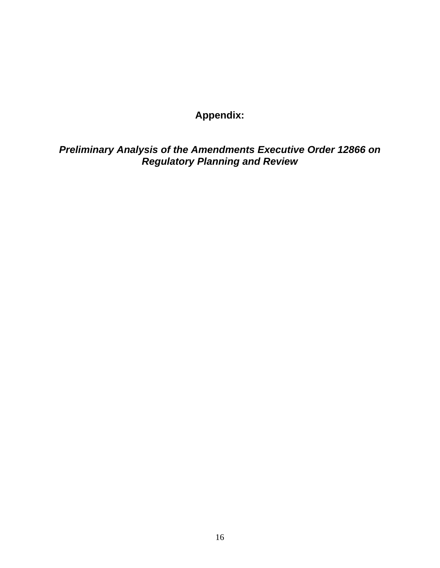# **Appendix:**

*Preliminary Analysis of the Amendments Executive Order 12866 on Regulatory Planning and Review*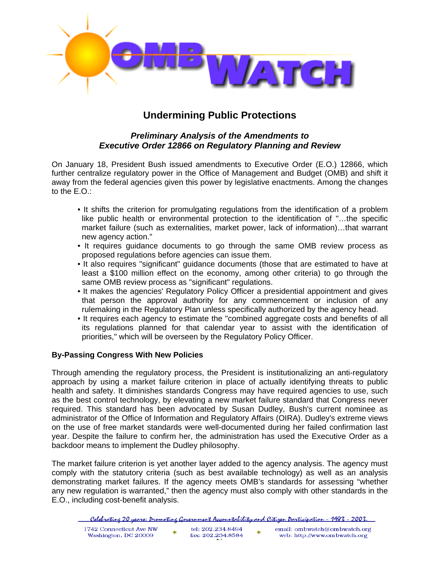

# **Undermining Public Protections**

# *Preliminary Analysis of the Amendments to Executive Order 12866 on Regulatory Planning and Review*

On January 18, President Bush issued amendments to Executive Order (E.O.) 12866, which further centralize regulatory power in the Office of Management and Budget (OMB) and shift it away from the federal agencies given this power by legislative enactments. Among the changes to the E.O.:

- It shifts the criterion for promulgating regulations from the identification of a problem like public health or environmental protection to the identification of "…the specific market failure (such as externalities, market power, lack of information)…that warrant new agency action."
- It requires guidance documents to go through the same OMB review process as proposed regulations before agencies can issue them.
- It also requires "significant" guidance documents (those that are estimated to have at least a \$100 million effect on the economy, among other criteria) to go through the same OMB review process as "significant" regulations.
- It makes the agencies' Regulatory Policy Officer a presidential appointment and gives that person the approval authority for any commencement or inclusion of any rulemaking in the Regulatory Plan unless specifically authorized by the agency head.
- It requires each agency to estimate the "combined aggregate costs and benefits of all its regulations planned for that calendar year to assist with the identification of priorities," which will be overseen by the Regulatory Policy Officer.

# **By-Passing Congress With New Policies**

Through amending the regulatory process, the President is institutionalizing an anti-regulatory approach by using a market failure criterion in place of actually identifying threats to public health and safety. It diminishes standards Congress may have required agencies to use, such as the best control technology, by elevating a new market failure standard that Congress never required. This standard has been advocated by Susan Dudley, Bush's current nominee as administrator of the Office of Information and Regulatory Affairs (OIRA). Dudley's extreme views on the use of free market standards were well-documented during her failed confirmation last year. Despite the failure to confirm her, the administration has used the Executive Order as a backdoor means to implement the Dudley philosophy.

The market failure criterion is yet another layer added to the agency analysis. The agency must comply with the statutory criteria (such as best available technology) as well as an analysis demonstrating market failures. If the agency meets OMB's standards for assessing "whether any new regulation is warranted," then the agency must also comply with other standards in the E.O., including cost-benefit analysis.

<sup>&</sup>lt;u> Celebratine 20 years: Promotine Government Accountability and Citizen Darticipation - 1983 - 2003.</u>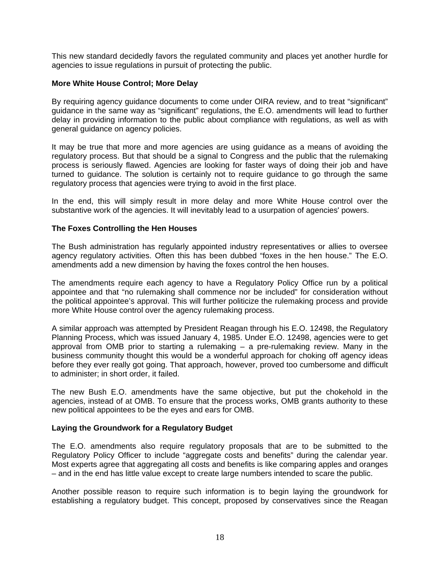This new standard decidedly favors the regulated community and places yet another hurdle for agencies to issue regulations in pursuit of protecting the public.

# **More White House Control; More Delay**

By requiring agency guidance documents to come under OIRA review, and to treat "significant" guidance in the same way as "significant" regulations, the E.O. amendments will lead to further delay in providing information to the public about compliance with regulations, as well as with general guidance on agency policies.

It may be true that more and more agencies are using guidance as a means of avoiding the regulatory process. But that should be a signal to Congress and the public that the rulemaking process is seriously flawed. Agencies are looking for faster ways of doing their job and have turned to guidance. The solution is certainly not to require guidance to go through the same regulatory process that agencies were trying to avoid in the first place.

In the end, this will simply result in more delay and more White House control over the substantive work of the agencies. It will inevitably lead to a usurpation of agencies' powers.

#### **The Foxes Controlling the Hen Houses**

The Bush administration has regularly appointed industry representatives or allies to oversee agency regulatory activities. Often this has been dubbed "foxes in the hen house." The E.O. amendments add a new dimension by having the foxes control the hen houses.

The amendments require each agency to have a Regulatory Policy Office run by a political appointee and that "no rulemaking shall commence nor be included" for consideration without the political appointee's approval. This will further politicize the rulemaking process and provide more White House control over the agency rulemaking process.

A similar approach was attempted by President Reagan through his E.O. 12498, the Regulatory Planning Process, which was issued January 4, 1985. Under E.O. 12498, agencies were to get approval from OMB prior to starting a rulemaking  $-$  a pre-rulemaking review. Many in the business community thought this would be a wonderful approach for choking off agency ideas before they ever really got going. That approach, however, proved too cumbersome and difficult to administer; in short order, it failed.

The new Bush E.O. amendments have the same objective, but put the chokehold in the agencies, instead of at OMB. To ensure that the process works, OMB grants authority to these new political appointees to be the eyes and ears for OMB.

#### **Laying the Groundwork for a Regulatory Budget**

The E.O. amendments also require regulatory proposals that are to be submitted to the Regulatory Policy Officer to include "aggregate costs and benefits" during the calendar year. Most experts agree that aggregating all costs and benefits is like comparing apples and oranges – and in the end has little value except to create large numbers intended to scare the public.

Another possible reason to require such information is to begin laying the groundwork for establishing a regulatory budget. This concept, proposed by conservatives since the Reagan